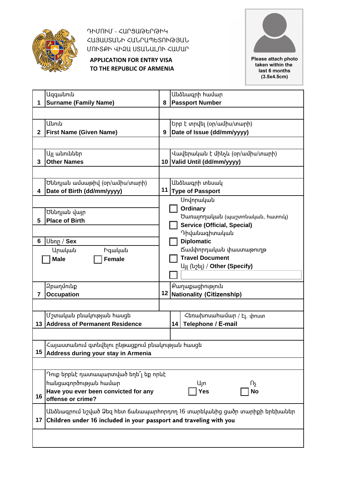

ԴԻՄՈՒՄ - ՀԱՐՑԱԹԵՐԹԻԿ ՀԱՅԱՍՏԱՆԻ ՀԱՆՐԱՊԵՏՈՒԹՅԱՆ ՄՈՒՏՔԻ ՎԻԶԱ ՍՏԱՆԱԼՈՒ ՀԱՄԱՐ

**APPLICATION FOR ENTRY VISA TO THE REPUBLIC OF ARMENIA**



Please attach photo taken within the last 6 months  $(3.5x4.5cm)$ 

|              | <b>Ugqwuniu</b>                                                    |   | Անձնագրի համար                                                           |  |
|--------------|--------------------------------------------------------------------|---|--------------------------------------------------------------------------|--|
|              | <b>Surname (Family Name)</b>                                       | 8 | <b>Passport Number</b>                                                   |  |
|              |                                                                    |   |                                                                          |  |
|              | Անուն                                                              |   | Երբ է տրվել (օր/ամիս/տարի)                                               |  |
| $\mathbf{2}$ | <b>First Name (Given Name)</b>                                     | 9 | Date of Issue (dd/mm/yyyy)                                               |  |
|              |                                                                    |   |                                                                          |  |
|              | Այլ անուններ                                                       |   | Վավերական է մինչև (օր/ամիս/տարի)                                         |  |
| 3            | <b>Other Names</b>                                                 |   | 10 Valid Until (dd/mm/yyyy)                                              |  |
|              |                                                                    |   |                                                                          |  |
|              | Ծննդյան ամսաթիվ (օր/ամիս/տարի)                                     |   | Անձնագրի տեսակ                                                           |  |
| 4            | Date of Birth (dd/mm/yyyy)                                         |   | 11 Type of Passport                                                      |  |
|              |                                                                    |   | Սովորական                                                                |  |
|              |                                                                    |   | Ordinary                                                                 |  |
|              | Ծննդյան վայր<br><b>Place of Birth</b>                              |   | Ծառայողական (պաշտոնական, հատուկ)                                         |  |
| 5            |                                                                    |   | <b>Service (Official, Special)</b>                                       |  |
|              |                                                                    |   | Դիվանագիտական                                                            |  |
| 6            | Utinn / Sex                                                        |   | <b>Diplomatic</b>                                                        |  |
|              | Արական<br>Իգական                                                   |   | Ճամփորդական փաստաթուղթ                                                   |  |
|              | <b>Male</b><br>Female                                              |   | <b>Travel Document</b>                                                   |  |
|              |                                                                    |   | U <sub>II</sub> (u <sub>2</sub> b <sub>I</sub> ) / Other (Specify)       |  |
|              |                                                                    |   |                                                                          |  |
|              | <b>2</b> բաղմունք                                                  |   | Քաղաքացիություն                                                          |  |
| 7            | <b>Occupation</b>                                                  |   | 12 Nationality (Citizenship)                                             |  |
|              |                                                                    |   |                                                                          |  |
|              | Մշտական բնակության hասցե                                           |   | Հեռախոսահամար / Էլ. փոստ                                                 |  |
|              | 13 Address of Permanent Residence                                  |   | Telephone / E-mail<br>14                                                 |  |
|              |                                                                    |   |                                                                          |  |
|              | Հայաստանում գտնվելու ընթացքում բնակության հասցե                    |   |                                                                          |  |
| 15           | Address during your stay in Armenia                                |   |                                                                          |  |
|              |                                                                    |   |                                                                          |  |
|              | Դուք երբևէ դատապարտված եղե՞լ եք որևէ                               |   |                                                                          |  |
|              | hանցագործության hամար                                              |   | Цm<br>Πş                                                                 |  |
|              | Have you ever been convicted for any                               |   | <b>Yes</b><br><b>No</b>                                                  |  |
| 16           | offense or crime?                                                  |   |                                                                          |  |
|              |                                                                    |   | Անձնագրում նշված Ձեզ հետ ճանապարհորդող 16 տարեկանից ցածր տարիքի երեխաներ |  |
| 17           | Children under 16 included in your passport and traveling with you |   |                                                                          |  |
|              |                                                                    |   |                                                                          |  |
|              |                                                                    |   |                                                                          |  |
|              |                                                                    |   |                                                                          |  |